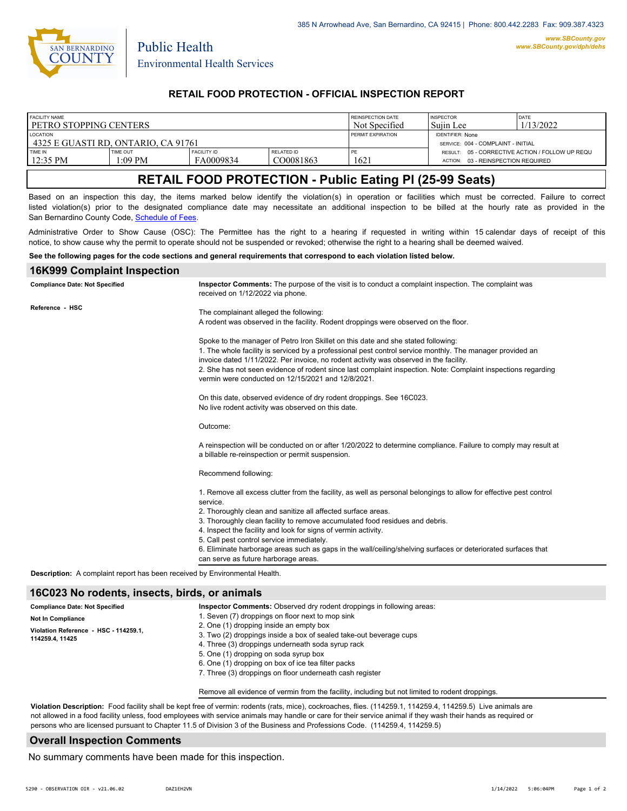

Public Health

### **RETAIL FOOD PROTECTION - OFFICIAL INSPECTION REPORT**

| RESULT: 05 - CORRECTIVE ACTION / FOLLOW UP REQU |
|-------------------------------------------------|
|                                                 |
|                                                 |
|                                                 |

# **RETAIL FOOD PROTECTION - Public Eating Pl (25-99 Seats)**

Based on an inspection this day, the items marked below identify the violation(s) in operation or facilities which must be corrected. Failure to correct listed violation(s) prior to the designated compliance date may necessitate an additional inspection to be billed at the hourly rate as provided in the San Bernardino County Code, Sc[hedule of Fees.](https://codelibrary.amlegal.com/codes/sanbernardino/latest/sanberncty_ca/0-0-0-122474#JD_16.0213B)

Administrative Order to Show Cause (OSC): The Permittee has the right to a hearing if requested in writing within 15 calendar days of receipt of this notice, to show cause why the permit to operate should not be suspended or revoked; otherwise the right to a hearing shall be deemed waived.

#### **See the following pages for the code sections and general requirements that correspond to each violation listed below.**

#### **16K999 Complaint Inspection**

| <b>Compliance Date: Not Specified</b>                                             | Inspector Comments: The purpose of the visit is to conduct a complaint inspection. The complaint was<br>received on 1/12/2022 via phone.                                                                                                                                                                                                                                                                                                                                                                                                               |
|-----------------------------------------------------------------------------------|--------------------------------------------------------------------------------------------------------------------------------------------------------------------------------------------------------------------------------------------------------------------------------------------------------------------------------------------------------------------------------------------------------------------------------------------------------------------------------------------------------------------------------------------------------|
| Reference - HSC                                                                   | The complainant alleged the following:<br>A rodent was observed in the facility. Rodent droppings were observed on the floor.                                                                                                                                                                                                                                                                                                                                                                                                                          |
|                                                                                   | Spoke to the manager of Petro Iron Skillet on this date and she stated following:<br>1. The whole facility is serviced by a professional pest control service monthly. The manager provided an<br>invoice dated 1/11/2022. Per invoice, no rodent activity was observed in the facility.<br>2. She has not seen evidence of rodent since last complaint inspection. Note: Complaint inspections regarding<br>vermin were conducted on 12/15/2021 and 12/8/2021.                                                                                        |
|                                                                                   | On this date, observed evidence of dry rodent droppings. See 16C023.<br>No live rodent activity was observed on this date.                                                                                                                                                                                                                                                                                                                                                                                                                             |
|                                                                                   | Outcome:                                                                                                                                                                                                                                                                                                                                                                                                                                                                                                                                               |
|                                                                                   | A reinspection will be conducted on or after 1/20/2022 to determine compliance. Failure to comply may result at<br>a billable re-reinspection or permit suspension.                                                                                                                                                                                                                                                                                                                                                                                    |
|                                                                                   | Recommend following:                                                                                                                                                                                                                                                                                                                                                                                                                                                                                                                                   |
|                                                                                   | 1. Remove all excess clutter from the facility, as well as personal belongings to allow for effective pest control<br>service.<br>2. Thoroughly clean and sanitize all affected surface areas.<br>3. Thoroughly clean facility to remove accumulated food residues and debris.<br>4. Inspect the facility and look for signs of vermin activity.<br>5. Call pest control service immediately.<br>6. Eliminate harborage areas such as gaps in the wall/ceiling/shelving surfaces or deteriorated surfaces that<br>can serve as future harborage areas. |
| <b>Description:</b> A complaint report has been received by Environmental Health. |                                                                                                                                                                                                                                                                                                                                                                                                                                                                                                                                                        |

#### **16C023 No rodents, insects, birds, or animals**

| <b>Compliance Date: Not Specified</b>                    | <b>Inspector Comments:</b> Observed dry rodent droppings in following areas:                    |
|----------------------------------------------------------|-------------------------------------------------------------------------------------------------|
| <b>Not In Compliance</b>                                 | 1. Seven (7) droppings on floor next to mop sink                                                |
|                                                          | 2. One (1) dropping inside an empty box                                                         |
| Violation Reference - HSC - 114259.1.<br>114259.4, 11425 | 3. Two (2) droppings inside a box of sealed take-out beverage cups                              |
|                                                          | 4. Three (3) droppings underneath soda syrup rack                                               |
|                                                          | 5. One (1) dropping on soda syrup box                                                           |
|                                                          | 6. One (1) dropping on box of ice tea filter packs                                              |
|                                                          | 7. Three (3) droppings on floor underneath cash register                                        |
|                                                          | Remove all evidence of vermin from the facility, including but not limited to rodent droppings. |

**Violation Description:** Food facility shall be kept free of vermin: rodents (rats, mice), cockroaches, flies. (114259.1, 114259.4, 114259.5) Live animals are not allowed in a food facility unless, food employees with service animals may handle or care for their service animal if they wash their hands as required or persons who are licensed pursuant to Chapter 11.5 of Division 3 of the Business and Professions Code. (114259.4, 114259.5)

#### **Overall Inspection Comments**

No summary comments have been made for this inspection.